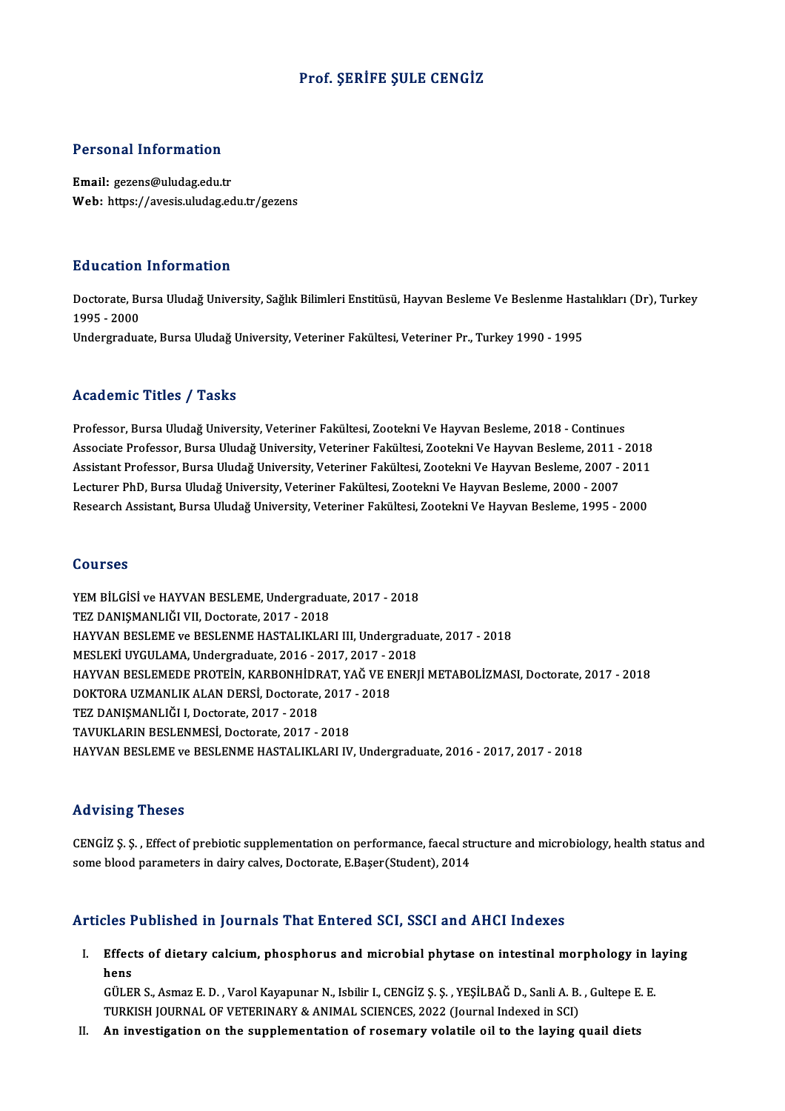#### Prof. ŞERİFE ŞULE CENGİZ

#### Personal Information

Email: gezens@uludag.edu.tr Web: https://avesis.uludag.edu.tr/gezens

#### Education Information

**Education Information**<br>Doctorate, Bursa Uludağ University, Sağlık Bilimleri Enstitüsü, Hayvan Besleme Ve Beslenme Hastalıkları (Dr), Turkey<br>1995– 2000 nd declerent<br>Doctorate, Bu<br>1995 - 2000<br>Undergradue 1995 - 2000<br>Undergraduate, Bursa Uludağ University, Veteriner Fakültesi, Veteriner Pr., Turkey 1990 - 1995

#### Academic Titles / Tasks

Professor, Bursa Uludağ University, Veteriner Fakültesi, Zootekni Ve Hayvan Besleme, 2018 - Continues Associate Professor, Bursa Uludağ University, Veteriner Fakültesi, Zootekni Ve Hayvan Besleme, 2011 - 2018 Professor, Bursa Uludağ University, Veteriner Fakültesi, Zootekni Ve Hayvan Besleme, 2018 - Continues<br>Associate Professor, Bursa Uludağ University, Veteriner Fakültesi, Zootekni Ve Hayvan Besleme, 2011 - 2018<br>Assistant Pro Associate Professor, Bursa Uludağ University, Veteriner Fakültesi, Zootekni Ve Hayvan Besleme, 2011 -<br>Assistant Professor, Bursa Uludağ University, Veteriner Fakültesi, Zootekni Ve Hayvan Besleme, 2007 -<br>Lecturer PhD, Burs Assistant Professor, Bursa Uludağ University, Veteriner Fakültesi, Zootekni Ve Hayvan Besleme, 2007 - 2011<br>Lecturer PhD, Bursa Uludağ University, Veteriner Fakültesi, Zootekni Ve Hayvan Besleme, 2000 - 2007<br>Research Assist Research Assistant, Bursa Uludağ University, Veteriner Fakültesi, Zootekni Ve Hayvan Besleme, 1995 - 2000<br>Courses

Courses<br>YEM BİLGİSİ ve HAYVAN BESLEME, Undergraduate, 2017 - 2018<br>TEZ DANISMANI JÖLVIL Desterste, 2017 - 2018 TEM BİLGİSİ ve HAYVAN BESLEME, Undergradu:<br>TEZ DANIŞMANLIĞI VII, Doctorate, 2017 - 2018<br>HAYVAN PESLEME ve PESLENME HASTALIKLAR YEM BİLGİSİ ve HAYVAN BESLEME, Undergraduate, 2017 - 2018<br>TEZ DANIŞMANLIĞI VII, Doctorate, 2017 - 2018<br>HAYVAN BESLEME ve BESLENME HASTALIKLARI III, Undergraduate, 2017 - 2018<br>MESLEKİ UYGULAMA Undergraduata, 2016 - 2017, 20 TEZ DANIŞMANLIĞI VII, Doctorate, 2017 - 2018<br>HAYVAN BESLEME ve BESLENME HASTALIKLARI III, Undergradu<br>MESLEKİ UYGULAMA, Undergraduate, 2016 - 2017, 2017 - 2018<br>HAYVAN RESLEMEDE BROTEİN, KARRONHİDRAT VAĞ VE ENERI HAYVAN BESLEMEDE PROTEİN, KARBONHİDRAT, YAĞ VE ENERJİ METABOLİZMASI, Doctorate, 2017 - 2018 MESLEKİ UYGULAMA, Undergraduate, 2016 - 2017, 2017 - 2018 TEZ DANIŞMANLIĞI I, Doctorate, 2017 - 2018<br>TAVUKLARIN BESLENMESİ, Doctorate, 2017 - 2018 DOKTORA UZMANLIK ALAN DERSİ, Doctorate, 2017 - 2018 HAYVAN BESLEME ve BESLENME HASTALIKLARI IV, Undergraduate, 2016 - 2017, 2017 - 2018

#### Advising Theses

Advising Theses<br>CENGİZ Ş. Ş. , Effect of prebiotic supplementation on performance, faecal structure and microbiology, health status and<br>some blood parameters in dainy salves. Desterate, E Beser(Student), 2014 sta violing intoods<br>CENGİZ Ş. Ş. , Effect of prebiotic supplementation on performance, faecal sti<br>some blood parameters in dairy calves, Doctorate, E.Başer(Student), 2014

# some blood parameters in dairy calves, Doctorate, E.Başer(Student), 2014<br>Articles Published in Journals That Entered SCI, SSCI and AHCI Indexes

rticles Published in Journals That Entered SCI, SSCI and AHCI Indexes<br>I. Effects of dietary calcium, phosphorus and microbial phytase on intestinal morphology in laying<br>hang د Effect<br>Effect<br>Citre Effects of dietary calcium, phosphorus and microbial phytase on intestinal morphology in la<br>hens<br>GÜLER S., Asmaz E. D. , Varol Kayapunar N., Isbilir I., CENGİZ Ş. Ş. , YEŞİLBAĞ D., Sanli A. B. , Gultepe E. E<br>TURKISH JOURNA

hens<br>GÜLER S., Asmaz E. D. , Varol Kayapunar N., Isbilir I., CENGİZ Ş. Ş. , YEŞİLBAĞ D., Sanli A. B. , Gultepe E. E.<br>TURKISH JOURNAL OF VETERINARY & ANIMAL SCIENCES, 2022 (Journal Indexed in SCI)

II. An investigation on the supplementation of rosemary volatile oil to the laying quail diets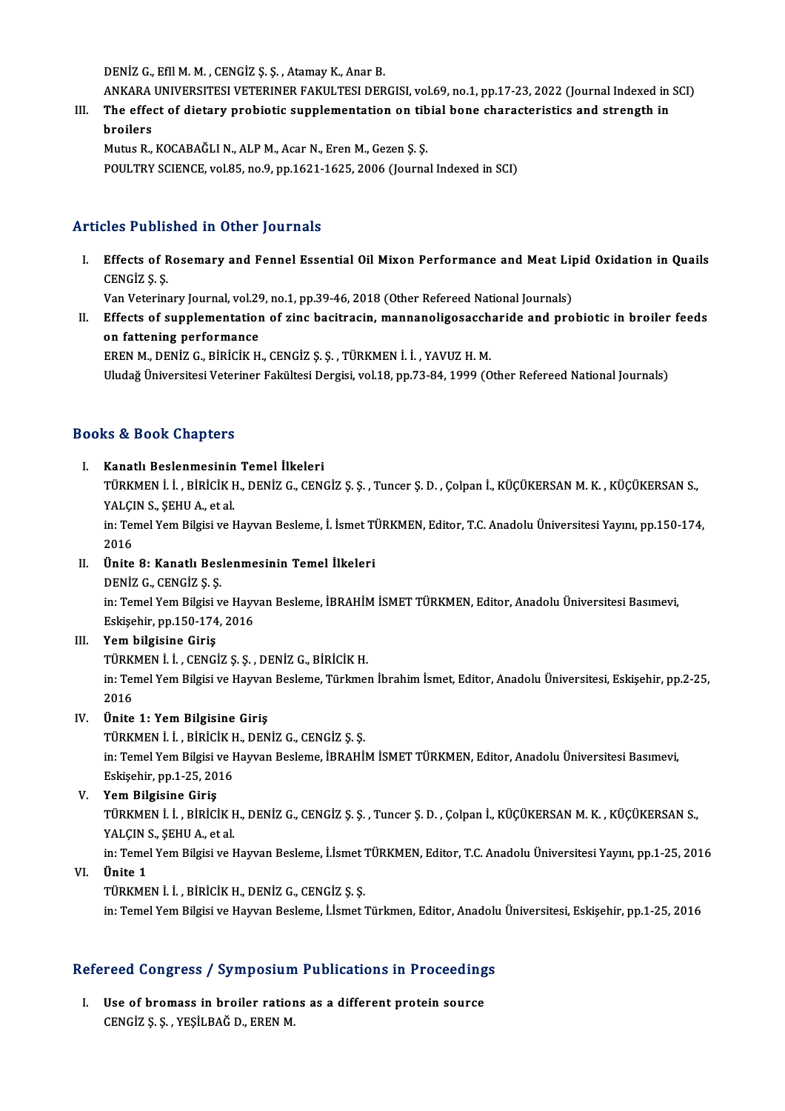DENİZ G., Efil M. M., CENGİZ Ş. Ş., Atamay K., Anar B.

- DENİZ G., Efil M. M. , CENGİZ Ş. Ş. , Atamay K., Anar B.<br>ANKARA UNIVERSITESI VETERINER FAKULTESI DERGISI, vol.69, no.1, pp.17-23, 2022 (Journal Indexed in SCI)<br>The effect of distany probiatis sunplementation on tibial bane DENİZ G., Efil M. M. , CENGİZ Ş. Ş. , Atamay K., Anar B.<br>ANKARA UNIVERSITESI VETERINER FAKULTESI DERGISI, vol.69, no.1, pp.17-23, 2022 (Journal Indexed in<br>III. The effect of dietary probiotic supplementation on tibial bone
- ANKARA<br>The effee<br>broilers<br>Mutua P III. The effect of dietary probiotic supplementation on tibial bone characteristics and strength in<br>broilers<br>Mutus R., KOCABAĞLI N., ALP M., Acar N., Eren M., Gezen Ş. Ş.

POULTRY SCIENCE, vol.85, no.9, pp.1621-1625, 2006 (Journal Indexed in SCI)

## Articles Published in Other Journals

rticles Published in Other Journals<br>I. Effects of Rosemary and Fennel Essential Oil Mixon Performance and Meat Lipid Oxidation in Quails<br>CENCi7 S S Effects of F<br>Effects of F<br>CENGİZ Ş. Ş. Effects of Rosemary and Fennel Essential Oil Mixon Performance and Meat Lip<br>CENGİZ Ş. Ş.<br>Van Veterinary Journal, vol.29, no.1, pp.39-46, 2018 (Other Refereed National Journals)<br>Effects of sunnlomentation of sins bositzesin

Van Veterinary Journal, vol.29, no.1, pp.39-46, 2018 (Other Refereed National Journals)

I . CENGIZ \$. \$.<br>
Van Veterinary Journal, vol.29, no.1, pp.39-46, 2018 (Other Refereed National Journals)<br>
II. Effects of supplementation of zinc bacitracin, mannanoligosaccharide and probiotic in broiler feeds<br>
on fatteni ERENM.,DENİZG.,BİRİCİKH.,CENGİZ Ş.Ş. ,TÜRKMENİ. İ. ,YAVUZH.M.

Uludağ Üniversitesi Veteriner Fakültesi Dergisi, vol.18, pp.73-84, 1999 (Other Refereed National Journals)

### Books&Book Chapters

#### I. Kanatlı Beslenmesinin Temel İlkeleri

tö di biosh dhaptersi<br>Kanatlı Beslenmesinin Temel İlkeleri<br>TÜRKMEN İ. İ. , BİRİCİK H., DENİZ G., CENGİZ Ş. Ş. , Tuncer Ş. D. , Çolpan İ., KÜÇÜKERSAN M. K. , KÜÇÜKERSAN S Kanatlı Beslenmesinin<br>TÜRKMEN İ. İ. , BİRİCİK I<br>YALÇIN S., ŞEHU A., et al.<br>in: Temel Yem Bilgici ve l TÜRKMEN İ. İ. , BİRİCİK H., DENİZ G., CENGİZ Ş. Ş. , Tuncer Ş. D. , Çolpan İ., KÜÇÜKERSAN M. K. , KÜÇÜKERSAN S.,<br>YALÇIN S., ŞEHU A., et al.<br>in: Temel Yem Bilgisi ve Hayvan Besleme, İ. İsmet TÜRKMEN, Editor, T.C. Anadolu Ün

YALÇIN S., ŞEHU A., et al.<br>in: Temel Yem Bilgisi ve Hayvan Besleme, İ. İsmet TÜRKMEN, Editor, T.C. Anadolu Üniversitesi Yayını, pp.150-174,<br>2016

#### II. Ünite 8: Kanatlı Beslenmesinin Temel İlkeleri

DENİZ G., CENGİZ Ş.Ş.

Ünite 8: Kanatlı Beslenmesinin Temel İlkeleri<br>DENİZ G., CENGİZ Ş. Ş.<br>in: Temel Yem Bilgisi ve Hayvan Besleme, İBRAHİM İSMET TÜRKMEN, Editor, Anadolu Üniversitesi Basımevi,<br>Fekisohin nn 150 174 2016 DENİZ G., CENGİZ Ş. Ş.<br>in: Temel Yem Bilgisi ve Hayv<br>Eskişehir, pp.150-174, 2016<br>Yem bilgisine Cinis

# Eskişehir, pp.150-174, 2016<br>III. Yem bilgisine Giriş

TÜRKMENİ. İ. ,CENGİZ Ş.Ş. ,DENİZG.,BİRİCİKH. Yem bilgisine Giriş<br>TÜRKMEN İ. İ. , CENGİZ Ş. Ş. , DENİZ G., BİRİCİK H.<br>in: Temel Yem Bilgisi ve Hayvan Besleme, Türkmen İbrahim İsmet, Editor, Anadolu Üniversitesi, Eskişehir, pp.2-25, TÜRKI<br>in: Ter<br>2016<br>Ünite 2016<br>IV. Ünite 1: Yem Bilgisine Giriş

TÜRKMEN İ. İ. , BİRİCİK H., DENİZ G., CENGİZ Ş. Ş. Ünite 1: Yem Bilgisine Giriş<br>TÜRKMEN İ. İ. , BİRİCİK H., DENİZ G., CENGİZ Ş. Ş.<br>in: Temel Yem Bilgisi ve Hayvan Besleme, İBRAHİM İSMET TÜRKMEN, Editor, Anadolu Üniversitesi Basımevi,<br>Fekisohir, nn 1,25, 2016 TÜRKMEN İ. İ. , BİRİCİK <del>I</del><br>in: Temel Yem Bilgisi ve I<br>Eskişehir, pp.1-25, 2016<br>Yem Bilgisine Ciris

# Eskişehir, pp.1-25, 2016<br>V. Yem Bilgisine Giriş

Eskişehir, pp.1-25, 2016<br>Yem Bilgisine Giriş<br>TÜRKMEN İ. İ. , BİRİCİK H., DENİZ G., CENGİZ Ş. Ş. , Tuncer Ş. D. , Çolpan İ., KÜÇÜKERSAN M. K. , KÜÇÜKERSAN S.,<br>XALCIN Ş. SEHILA, et al Yem Bilgisine Giriş<br>TÜRKMEN İ. İ. , BİRİCİK I<br>YALÇIN S., ŞEHU A., et al.<br>in: Temel Yem Bilgiçi ve l TÜRKMEN İ. İ. , BİRİCİK H., DENİZ G., CENGİZ Ş. Ş. , Tuncer Ş. D. , Çolpan İ., KÜÇÜKERSAN M. K. , KÜÇÜKERSAN S.,<br>YALÇIN S., ŞEHU A., et al.<br>in: Temel Yem Bilgisi ve Hayvan Besleme, İ.İsmet TÜRKMEN, Editor, T.C. Anadolu Üni

YALÇIN S., ŞEHU A., et al.<br>in: Temel Yem Bilgisi ve Hayvan Besleme, İ.İsmet<br>VI. Ünite 1<br>TÜRKMEN İ. İ. , BİRİCİK H., DENİZ G., CENGİZ S. S. in: Temel Yem Bilgisi ve Hayvan Besleme, İ.İsmet<br>Ünite 1<br>TÜRKMEN İ. İ. , BİRİCİK H., DENİZ G., CENGİZ Ş. Ş.<br>in: Temel Yem Bilgisi ve Hayvan Beslama, İ.İsmet

in: Temel Yem Bilgisi ve Hayvan Besleme, İ.İsmet Türkmen, Editor, Anadolu Üniversitesi, Eskişehir, pp.1-25, 2016

# m: Temer rem Bugist ve Hayvan Besieme, Lismet Turkmen, Editor, Anadolt<br>Refereed Congress / Symposium Publications in Proceedings

efereed Congress / Symposium Publications in Proceeding<br>I. Use of bromass in broiler rations as a different protein source<br>CENCIZS S. VESILPAČ D. EREN M I. Use of bromass in broiler rations as a different protein source<br>CENGİZ S.S., YESİLBAĞ D., EREN M.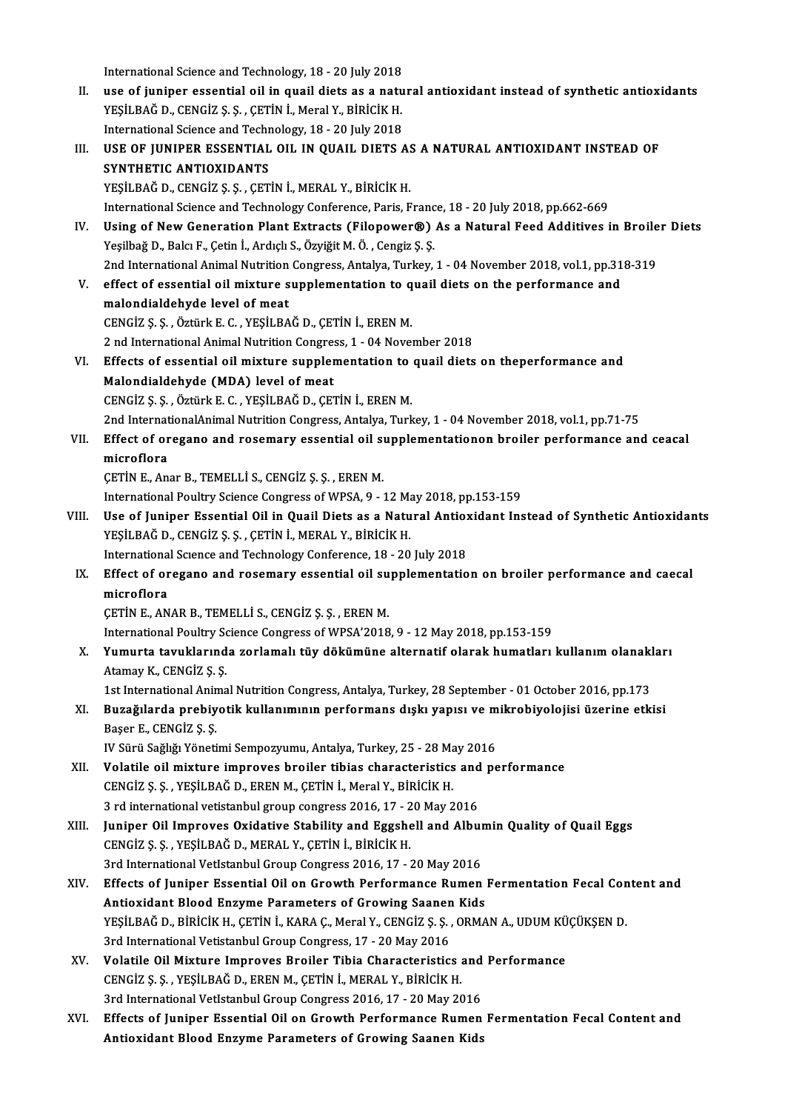International Science and Technology, 18 - 20 July 2018<br>Nee of iuniner essential eil in quail distage a natu

International Science and Technology, 18 - 20 July 2018<br>II. use of juniper essential oil in quail diets as a natural antioxidant instead of synthetic antioxidants<br>vESU BAČ D. CENCIZ S. S. CETIN I. Moral V. Biniciv H International Science and Technology, 18 - 20 July 2018<br>use of juniper essential oil in quail diets as a natu<br>YEŞİLBAĞ D., CENGİZ Ş. Ş. , ÇETİN İ., Meral Y., BİRİCİK H.<br>International Science and Technology, 18 - 20 July 20 use of juniper essential oil in quail diets as a natu<br>YEŞİLBAĞ D., CENGİZ Ş. Ş. , ÇETİN İ., Meral Y., BİRİCİK H.<br>International Science and Technology, 18 - 20 July 2018<br>USE OE UINIPER ESSENTIAL OU IN QUAU DIETS YEŞİLBAĞ D., CENGİZ Ş. Ş. , ÇETİN İ., Meral Y., BİRİCİK H.<br>International Science and Technology, 18 - 20 July 2018<br>III. USE OF JUNIPER ESSENTIAL OIL IN QUAIL DIETS AS A NATURAL ANTIOXIDANT INSTEAD OF<br>SYNTHETIC ANTIOXIDANTS International Science and Technology, 18 - 20 July 2018 YEŞİLBAĞ D., CENGİZ Ş. Ş. , ÇETİN İ., MERAL Y., BİRİCİK H.

International Science and Technology Conference, Paris, France, 18 - 20 July 2018, pp.662-669

- YEŞİLBAĞ D., CENGİZ Ş. Ş. , ÇETİN İ., MERAL Y., BİRİCİK H.<br>International Science and Technology Conference, Paris, France, 18 20 July 2018, pp.662-669<br>IV. Using of New Generation Plant Extracts (Filopower®) As a Natural Yeşilbağ D., Balcı F., Çetin İ., Ardıçlı S., Özyiğit M. Ö., Cengiz Ş. Ş. Using of New Generation Plant Extracts (Filopower®) As a Natural Feed Additives in Broile<br>Yeşilbağ D., Balcı F., Çetin İ., Ardıçlı S., Özyiğit M. Ö. , Cengiz Ş. Ş.<br>2nd International Animal Nutrition Congress, Antalya, Turk 2nd International Animal Nutrition Congress, Antalya, Turkey, 1 - 04 November 2018, vol.1, pp.318-319
- V. effect of essential oil mixture supplementation to quail diets on the performance and malondialdehyde level of meat CENGİZ Ş.Ş. ,ÖztürkE.C. ,YEŞİLBAĞD.,ÇETİNİ.,ERENM. malondialdehyde level of meat<br>CENGİZ Ş. Ş. , Öztürk E. C. , YEŞİLBAĞ D., ÇETİN İ., EREN M.<br>2 nd International Animal Nutrition Congress, 1 - 04 November 2018<br>Effects of essential ejl miyture sunnlementation te susil dista

- CENGİZ Ş. Ş. , Öztürk E. C. , YEŞİLBAĞ D., ÇETİN İ., EREN M.<br>2 nd International Animal Nutrition Congress, 1 04 November 2018<br>VI. Effects of essential oil mixture supplementation to quail diets on theperformance and<br>Mala 2 nd International Animal Nutrition Congres<br>Effects of essential oil mixture supplem<br>Malondialdehyde (MDA) level of meat<br>CENCIZS S. ÖTTINE F.C. VESU PAČ D. CET Effects of essential oil mixture supplementation to<br>Malondialdehyde (MDA) level of meat<br>CENGİZ Ş. Ş. , Öztürk E. C. , YEŞİLBAĞ D., ÇETİN İ., EREN M.<br>2nd InternationalAnimal Nutritian Congress Antalya Turk Malondialdehyde (MDA) level of meat<br>2nd InternationalAnimal Nutrition Congress, Antalya, Turkey, 1 - 04 November 2018, vol.1, pp.71-75<br>2nd InternationalAnimal Nutrition Congress, Antalya, Turkey, 1 - 04 November 2018, vol. CENGİZ Ş. Ş. , Öztürk E. C. , YEŞİLBAĞ D., ÇETİN İ., EREN M.<br>2nd InternationalAnimal Nutrition Congress, Antalya, Turkey, 1 - 04 November 2018, vol.1, pp.71-75<br>VII. Effect of oregano and rosemary essential oil suppleme
	-
- 2nd Internat<br>Effect of or<br>microflora<br>CETIN E An Effect of oregano and rosemary essential oil sumicroflora<br>microflora<br>ÇETİN E., Anar B., TEMELLİ S., CENGİZ Ş. Ş. , EREN M.<br>International Boultry Science Congress of WBSA A. microflora<br>ÇETİN E., Anar B., TEMELLİ S., CENGİZ Ş. Ş. , EREN M.<br>International Poultry Science Congress of WPSA, 9 - 12 May 2018, pp.153-159<br>Hee of Juniper Essential Oil in Quail Diets as a Natural Antioxidant Ins

- CETIN E., Anar B., TEMELLI S., CENGIZ Ş. Ş. , EREN M.<br>International Poultry Science Congress of WPSA, 9 12 May 2018, pp.153-159<br>VIII. Use of Juniper Essential Oil in Quail Diets as a Natural Antioxidant Instead of Synthe International Poultry Science Congress of WPSA, 9 - 12 Ma<br>Use of Juniper Essential Oil in Quail Diets as a Natu<br>YEŞİLBAĞ D., CENGİZ Ş.Ş., ÇETİN İ., MERAL Y., BİRİCİK H.<br>International Science and Technology Conference 19 - Use of Juniper Essential Oil in Quail Diets as a Natural Antion<br>YEŞİLBAĞ D., CENGİZ Ş. Ş. , ÇETİN İ., MERAL Y., BİRİCİK H.<br>International Science and Technology Conference, 18 - 20 July 2018<br>Effect of arasana and rasamary a YEŞİLBAĞ D., CENGİZ Ş. Ş. , ÇETİN İ., MERAL Y., BİRİCİK H.<br>International Science and Technology Conference, 18 - 20 July 2018<br>IX. Effect of oregano and rosemary essential oil supplementation on broiler performance and caec
- Internationa<br>Effect of or<br>microflora<br>CETIN E AN Effect of oregano and rosemary essential oil su<br>microflora<br>ÇETİN E., ANAR B., TEMELLİ S., CENGİZ Ş. Ş. , EREN M.<br>International Boultry Science Congress of WBSA'2019 microflora<br>ÇETİN E., ANAR B., TEMELLİ S., CENGİZ Ş. Ş. , EREN M.<br>International Poultry Science Congress of WPSA'2018, 9 - 12 May 2018, pp.153-159<br>Yumurta tayuklarında Farlamalı tüy dökümüne altarnatif olarak bumatları

CETIN E., ANAR B., TEMELLI S., CENGIZ Ş. Ş. , EREN M.<br>International Poultry Science Congress of WPSA'2018, 9 - 12 May 2018, pp.153-159<br>X. Yumurta tavuklarında zorlamalı tüy dökümüne alternatif olarak humatları kullanım International Poultry So<br>**Yumurta tavuklarınd**<br>Atamay K., CENGİZ Ş. Ş.<br>1st International Anima Yumurta tavuklarında zorlamalı tüy dökümüne alternatif olarak humatları kullanım olanakl<br>Atamay K., CENGİZ Ş. Ş.<br>1st International Animal Nutrition Congress, Antalya, Turkey, 28 September - 01 October 2016, pp.173<br>Bugağıla

# Atamay K., CENGİZ Ş. Ş.<br>1st International Animal Nutrition Congress, Antalya, Turkey, 28 September - 01 October 2016, pp.173<br>2000: Buzağılarda prebiyotik kullanımının performans dışkı yapısı ve mikrobiyolojisi üzerine etki 1st International Animal Nutrition Congress, Antalya, Turkey, 28 September - 01 October 2016, pp.173<br>Buzağılarda prebiyotik kullanımının performans dışkı yapısı ve mikrobiyolojisi üzerine etk<br>Başer E., CENGİZ Ş. Ş.<br>IV Sürü Buzağılarda prebiyotik kullanımının performans dışkı yapısı ve m<br>Başer E., CENGİZ Ş. Ş.<br>IV Sürü Sağlığı Yönetimi Sempozyumu, Antalya, Turkey, 25 - 28 May 2016<br>Velatile oil miytune imnneyes breiler tibise ebenesteristise an

- XII. Volatile oil mixture improves broiler tibias characteristics and performance IV Sürü Sağlığı Yönetimi Sempozyumu, Antalya, Turkey, 25 - 28 Ma<br>**Volatile oil mixture improves broiler tibias characteristics**<br>CENGİZ Ş. Ş. , YEŞİLBAĞ D., EREN M., ÇETİN İ., Meral Y., BİRİCİK H.<br><sup>2</sup> rd international yetis Volatile oil mixture improves broiler tibias characteristics and<br>CENGİZ Ş. Ş. , YEŞİLBAĞ D., EREN M., ÇETİN İ., Meral Y., BİRİCİK H.<br>3 rd international vetistanbul group congress 2016, 17 - 20 May 2016<br>Juniper Oil Improves
- 3 rd international vetistanbul group congress 2016, 17 20 May 2016<br>XIII. Juniper Oil Improves Oxidative Stability and Eggshell and Albumin Quality of Quail Eggs CENGİZ Ş.Ş. ,YEŞİLBAĞD.,MERAL Y.,ÇETİNİ.,BİRİCİKH. Juniper Oil Improves Oxidative Stability and Eggshell and Albur<br>CENGİZ Ş. Ş. , YEŞİLBAĞ D., MERAL Y., ÇETİN İ., BİRİCİK H.<br>3rd International VetIstanbul Group Congress 2016, 17 - 20 May 2016<br>Effects of Juniper Essential Oi CENGİZ Ş. Ş. , YEŞİLBAĞ D., MERAL Y., ÇETİN İ., BİRİCİK H.<br>3rd International VetIstanbul Group Congress 2016, 17 - 20 May 2016<br>XIV. Effects of Juniper Essential Oil on Growth Performance Rumen Fermentation Fecal Conten
- 3rd International VetIstanbul Group Congress 2016, 17 20 May 2016<br>Effects of Juniper Essential Oil on Growth Performance Rumen<br>Antioxidant Blood Enzyme Parameters of Growing Saanen Kids<br>VESU BAČ D. Pipiciv H. CETIN L. VA Effects of Juniper Essential Oil on Growth Performance Rumen Fermentation Fecal Con<br>Antioxidant Blood Enzyme Parameters of Growing Saanen Kids<br>YEŞİLBAĞ D., BİRİCİK H., ÇETİN İ., KARA Ç., Meral Y., CENGİZ Ş. Ş. , ORMAN A., Antioxidant Blood Enzyme Parameters of Growing Saanen Kids<br>YEŞİLBAĞ D., BİRİCİK H., ÇETİN İ., KARA Ç., Meral Y., CENGİZ Ş. Ş. , ORMAN A., UDUM KÜÇÜKŞEN D.<br>3rd International Vetistanbul Group Congress, 17 - 20 May 2016 YEŞİLBAĞ D., BİRİCİK H., ÇETİN İ., KARA Ç., Meral Y., CENGİZ Ş. Ş. , ORMAN A., UDUM KÜ<br>3rd International Vetistanbul Group Congress, 17 - 20 May 2016<br>XV. Volatile Oil Mixture Improves Broiler Tibia Characteristics and
- 3rd International Vetistanbul Group Congress, 17 20 May 2016<br>Volatile Oil Mixture Improves Broiler Tibia Characteristics<br>CENGİZ Ş. Ş. , YEŞİLBAĞ D., EREN M., ÇETİN İ., MERAL Y., BİRİCİK H.<br>2rd International Vetletanbul C Volatile Oil Mixture Improves Broiler Tibia Characteristics and<br>CENGİZ Ş. Ş. , YEŞİLBAĞ D., EREN M., ÇETİN İ., MERAL Y., BİRİCİK H.<br>3rd International VetIstanbul Group Congress 2016, 17 - 20 May 2016<br>Effecta of Juniper Ess CENGIZ Ș. Ș. , YEȘILBAĞ D., EREN M., ÇETIN I., MERAL Y., BIRICIK H.<br>3rd International VetIstanbul Group Congress 2016, 17 - 20 May 2016<br>XVI. Effects of Juniper Essential Oil on Growth Performance Rumen Fermentation Fecal C
- 3rd International VetIstanbul Group Congress 2016, 17 20 May 2016<br>Effects of Juniper Essential Oil on Growth Performance Rumen<br>Antioxidant Blood Enzyme Parameters of Growing Saanen Kids